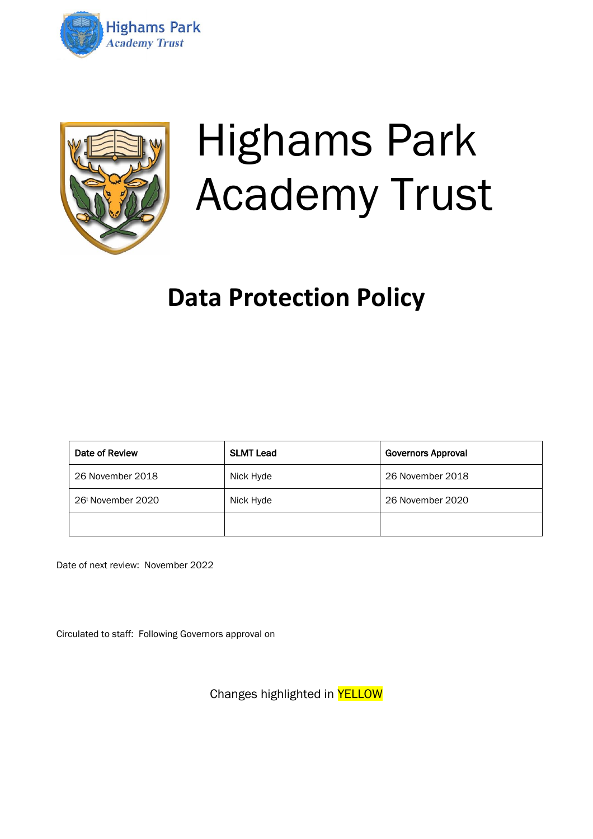



# Highams Park Academy Trust

## **Data Protection Policy**

| Date of Review                | <b>SLMT Lead</b> | <b>Governors Approval</b> |
|-------------------------------|------------------|---------------------------|
| 26 November 2018              | Nick Hyde        | 26 November 2018          |
| 26 <sup>t</sup> November 2020 | Nick Hyde        | 26 November 2020          |
|                               |                  |                           |

Date of next review: November 2022

Circulated to staff: Following Governors approval on

Changes highlighted in YELLOW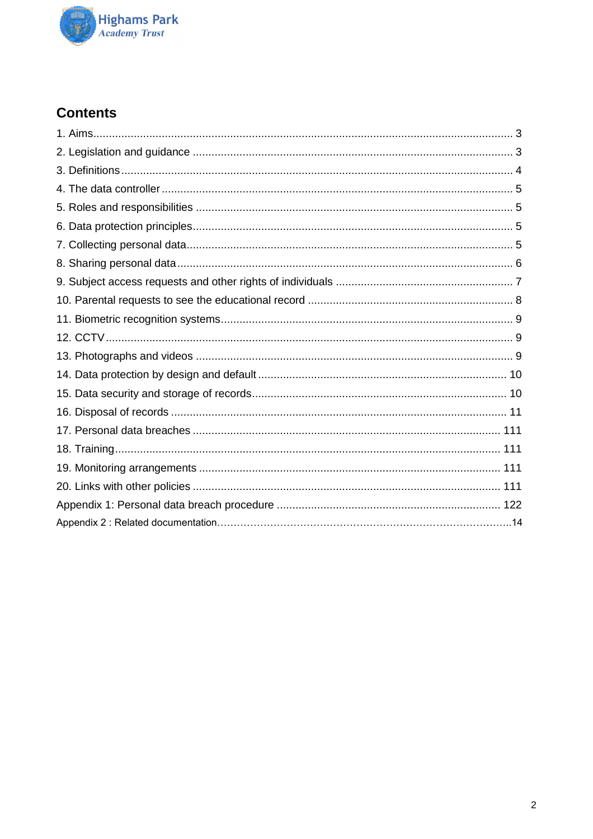

## **Contents**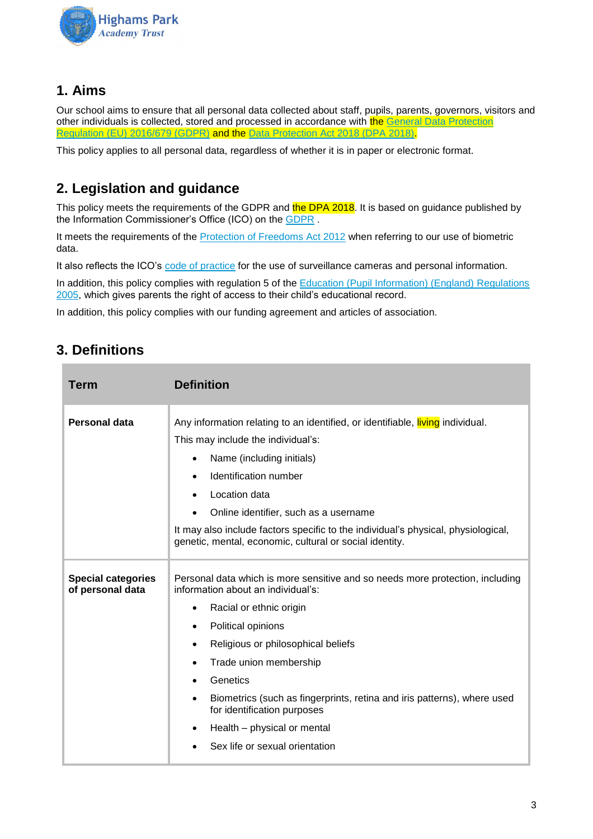

## **1. Aims**

Our school aims to ensure that all personal data collected about staff, pupils, parents, governors, visitors and other individuals is collected, stored and processed in accordance with the General Data Protection [Regulation \(EU\) 2016/679 \(GDPR\)](https://eur-lex.europa.eu/legal-content/EN/TXT/?qid=1528874672298&uri=CELEX:02016R0679-20160504) and the [Data Protection Act 2018 \(DPA 2018\).](http://www.legislation.gov.uk/ukpga/2018/12/contents/enacted)

This policy applies to all personal data, regardless of whether it is in paper or electronic format.

## **2. Legislation and guidance**

This policy meets the requirements of the GDPR and the DPA 2018. It is based on guidance published by the Information Commissioner's Office (ICO) on the [GDPR](https://ico.org.uk/for-organisations/guide-to-the-general-data-protection-regulation-gdpr/) .

It meets the requirements of the [Protection of Freedoms Act 2012](https://www.legislation.gov.uk/ukpga/2012/9/part/1/chapter/2) when referring to our use of biometric data.

It also reflects the ICO's [code of practice](https://ico.org.uk/media/for-organisations/documents/1542/cctv-code-of-practice.pdf) for the use of surveillance cameras and personal information.

In addition, this policy complies with regulation 5 of the **Education (Pupil Information) (England) Regulations** [2005,](http://www.legislation.gov.uk/uksi/2005/1437/regulation/5/made) which gives parents the right of access to their child's educational record.

In addition, this policy complies with our funding agreement and articles of association.

## **3. Definitions**

| Term                                          | <b>Definition</b>                                                                                                                                                                                                                                                                                                                                                                                                                                                                         |
|-----------------------------------------------|-------------------------------------------------------------------------------------------------------------------------------------------------------------------------------------------------------------------------------------------------------------------------------------------------------------------------------------------------------------------------------------------------------------------------------------------------------------------------------------------|
| Personal data                                 | Any information relating to an identified, or identifiable, living individual.<br>This may include the individual's:<br>Name (including initials)<br>$\bullet$<br>Identification number<br>Location data<br>Online identifier, such as a username<br>It may also include factors specific to the individual's physical, physiological,<br>genetic, mental, economic, cultural or social identity.                                                                                         |
| <b>Special categories</b><br>of personal data | Personal data which is more sensitive and so needs more protection, including<br>information about an individual's:<br>Racial or ethnic origin<br>$\bullet$<br>Political opinions<br>٠<br>Religious or philosophical beliefs<br>$\bullet$<br>Trade union membership<br>$\bullet$<br>Genetics<br>Biometrics (such as fingerprints, retina and iris patterns), where used<br>$\bullet$<br>for identification purposes<br>Health – physical or mental<br>٠<br>Sex life or sexual orientation |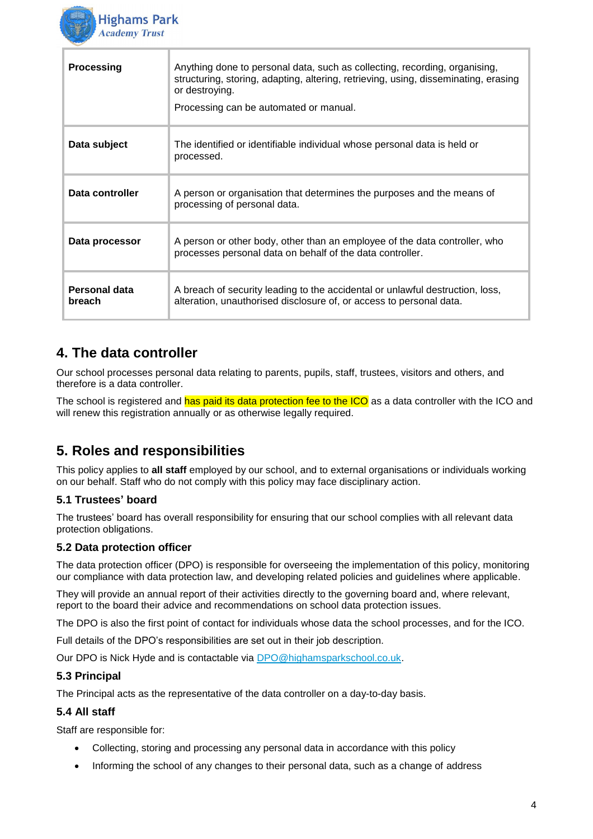

| <b>Processing</b>       | Anything done to personal data, such as collecting, recording, organising,<br>structuring, storing, adapting, altering, retrieving, using, disseminating, erasing<br>or destroying.<br>Processing can be automated or manual. |
|-------------------------|-------------------------------------------------------------------------------------------------------------------------------------------------------------------------------------------------------------------------------|
| Data subject            | The identified or identifiable individual whose personal data is held or<br>processed.                                                                                                                                        |
| Data controller         | A person or organisation that determines the purposes and the means of<br>processing of personal data.                                                                                                                        |
| Data processor          | A person or other body, other than an employee of the data controller, who<br>processes personal data on behalf of the data controller.                                                                                       |
| Personal data<br>breach | A breach of security leading to the accidental or unlawful destruction, loss,<br>alteration, unauthorised disclosure of, or access to personal data.                                                                          |

## **4. The data controller**

Our school processes personal data relating to parents, pupils, staff, trustees, visitors and others, and therefore is a data controller.

The school is registered and has paid its data protection fee to the ICO as a data controller with the ICO and will renew this registration annually or as otherwise legally required.

## **5. Roles and responsibilities**

This policy applies to **all staff** employed by our school, and to external organisations or individuals working on our behalf. Staff who do not comply with this policy may face disciplinary action.

#### **5.1 Trustees' board**

The trustees' board has overall responsibility for ensuring that our school complies with all relevant data protection obligations.

#### **5.2 Data protection officer**

The data protection officer (DPO) is responsible for overseeing the implementation of this policy, monitoring our compliance with data protection law, and developing related policies and guidelines where applicable.

They will provide an annual report of their activities directly to the governing board and, where relevant, report to the board their advice and recommendations on school data protection issues.

The DPO is also the first point of contact for individuals whose data the school processes, and for the ICO.

Full details of the DPO's responsibilities are set out in their job description.

Our DPO is Nick Hyde and is contactable via [DPO@highamsparkschool.co.uk.](mailto:DPO@highamsparkschool.co.uk)

#### **5.3 Principal**

The Principal acts as the representative of the data controller on a day-to-day basis.

#### **5.4 All staff**

Staff are responsible for:

- Collecting, storing and processing any personal data in accordance with this policy
- Informing the school of any changes to their personal data, such as a change of address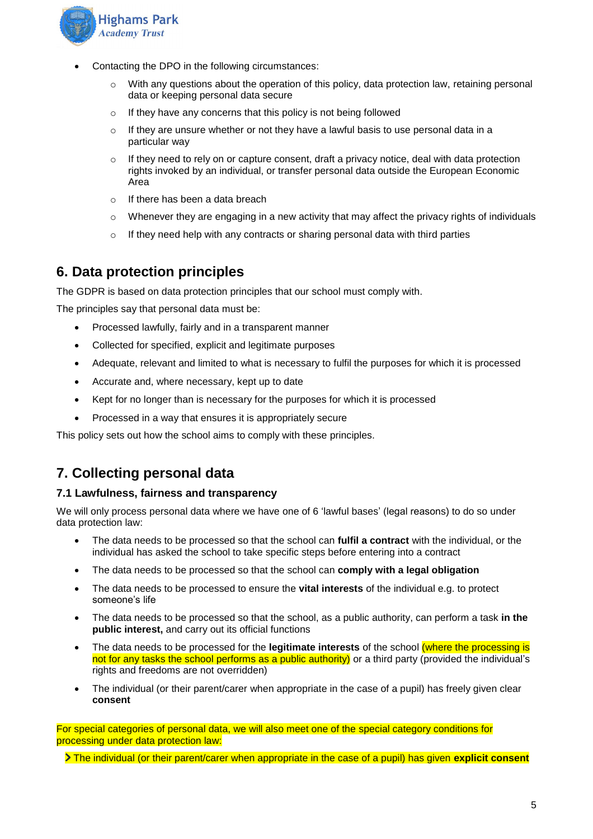

- Contacting the DPO in the following circumstances:
	- $\circ$  With any questions about the operation of this policy, data protection law, retaining personal data or keeping personal data secure
	- o If they have any concerns that this policy is not being followed
	- $\circ$  If they are unsure whether or not they have a lawful basis to use personal data in a particular way
	- $\circ$  If they need to rely on or capture consent, draft a privacy notice, deal with data protection rights invoked by an individual, or transfer personal data outside the European Economic Area
	- o If there has been a data breach
	- $\circ$  Whenever they are engaging in a new activity that may affect the privacy rights of individuals
	- o If they need help with any contracts or sharing personal data with third parties

## **6. Data protection principles**

The GDPR is based on data protection principles that our school must comply with.

The principles say that personal data must be:

- Processed lawfully, fairly and in a transparent manner
- Collected for specified, explicit and legitimate purposes
- Adequate, relevant and limited to what is necessary to fulfil the purposes for which it is processed
- Accurate and, where necessary, kept up to date
- Kept for no longer than is necessary for the purposes for which it is processed
- Processed in a way that ensures it is appropriately secure

This policy sets out how the school aims to comply with these principles.

## **7. Collecting personal data**

#### **7.1 Lawfulness, fairness and transparency**

We will only process personal data where we have one of 6 'lawful bases' (legal reasons) to do so under data protection law:

- The data needs to be processed so that the school can **fulfil a contract** with the individual, or the individual has asked the school to take specific steps before entering into a contract
- The data needs to be processed so that the school can **comply with a legal obligation**
- The data needs to be processed to ensure the **vital interests** of the individual e.g. to protect someone's life
- The data needs to be processed so that the school, as a public authority, can perform a task **in the public interest,** and carry out its official functions
- The data needs to be processed for the **legitimate interests** of the school (where the processing is not for any tasks the school performs as a public authority) or a third party (provided the individual's rights and freedoms are not overridden)
- The individual (or their parent/carer when appropriate in the case of a pupil) has freely given clear **consent**

For special categories of personal data, we will also meet one of the special category conditions for processing under data protection law:

The individual (or their parent/carer when appropriate in the case of a pupil) has given **explicit consent**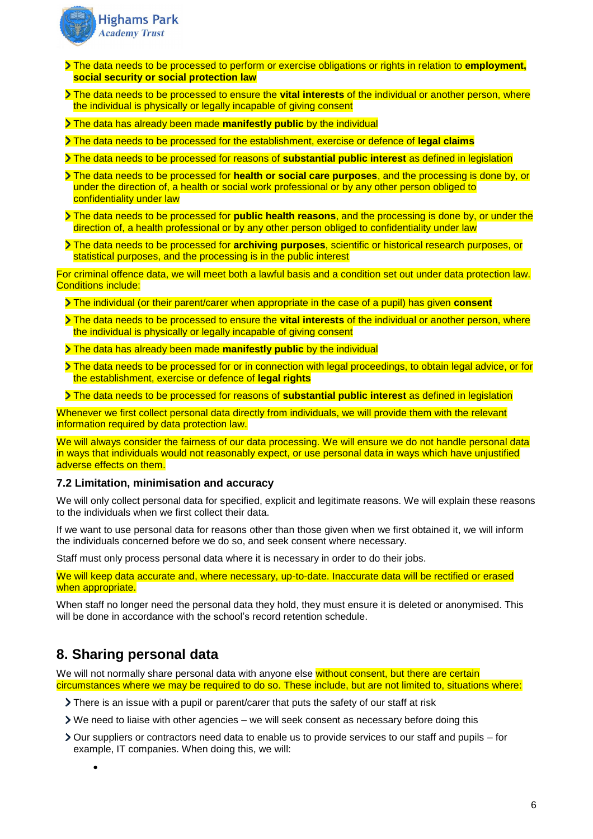

- The data needs to be processed to perform or exercise obligations or rights in relation to **employment, social security or social protection law**
- The data needs to be processed to ensure the **vital interests** of the individual or another person, where the individual is physically or legally incapable of giving consent
- The data has already been made **manifestly public** by the individual
- The data needs to be processed for the establishment, exercise or defence of **legal claims**
- The data needs to be processed for reasons of **substantial public interest** as defined in legislation
- The data needs to be processed for **health or social care purposes**, and the processing is done by, or under the direction of, a health or social work professional or by any other person obliged to confidentiality under law
- The data needs to be processed for **public health reasons**, and the processing is done by, or under the direction of, a health professional or by any other person obliged to confidentiality under law
- The data needs to be processed for **archiving purposes**, scientific or historical research purposes, or statistical purposes, and the processing is in the public interest

For criminal offence data, we will meet both a lawful basis and a condition set out under data protection law. Conditions include:

- The individual (or their parent/carer when appropriate in the case of a pupil) has given **consent**
- The data needs to be processed to ensure the **vital interests** of the individual or another person, where the individual is physically or legally incapable of giving consent
- The data has already been made **manifestly public** by the individual
- The data needs to be processed for or in connection with legal proceedings, to obtain legal advice, or for the establishment, exercise or defence of **legal rights**
- The data needs to be processed for reasons of **substantial public interest** as defined in legislation

Whenever we first collect personal data directly from individuals, we will provide them with the relevant information required by data protection law.

We will always consider the fairness of our data processing. We will ensure we do not handle personal data in ways that individuals would not reasonably expect, or use personal data in ways which have unjustified adverse effects on them.

#### **7.2 Limitation, minimisation and accuracy**

We will only collect personal data for specified, explicit and legitimate reasons. We will explain these reasons to the individuals when we first collect their data.

If we want to use personal data for reasons other than those given when we first obtained it, we will inform the individuals concerned before we do so, and seek consent where necessary.

Staff must only process personal data where it is necessary in order to do their jobs.

We will keep data accurate and, where necessary, up-to-date. Inaccurate data will be rectified or erased when appropriate.

When staff no longer need the personal data they hold, they must ensure it is deleted or anonymised. This will be done in accordance with the school's record retention schedule.

## **8. Sharing personal data**

•

We will not normally share personal data with anyone else without consent, but there are certain circumstances where we may be required to do so. These include, but are not limited to, situations where:

- There is an issue with a pupil or parent/carer that puts the safety of our staff at risk
- We need to liaise with other agencies we will seek consent as necessary before doing this
- Our suppliers or contractors need data to enable us to provide services to our staff and pupils for example, IT companies. When doing this, we will: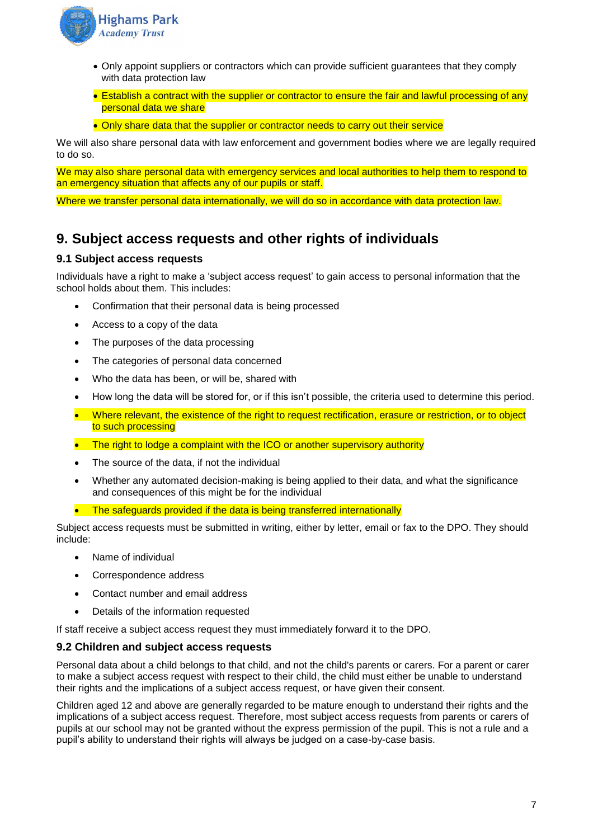

- Only appoint suppliers or contractors which can provide sufficient guarantees that they comply with data protection law
- Establish a contract with the supplier or contractor to ensure the fair and lawful processing of any personal data we share
- Only share data that the supplier or contractor needs to carry out their service

We will also share personal data with law enforcement and government bodies where we are legally required to do so.

We may also share personal data with emergency services and local authorities to help them to respond to an emergency situation that affects any of our pupils or staff.

Where we transfer personal data internationally, we will do so in accordance with data protection law.

## **9. Subject access requests and other rights of individuals**

#### **9.1 Subject access requests**

Individuals have a right to make a 'subject access request' to gain access to personal information that the school holds about them. This includes:

- Confirmation that their personal data is being processed
- Access to a copy of the data
- The purposes of the data processing
- The categories of personal data concerned
- Who the data has been, or will be, shared with
- How long the data will be stored for, or if this isn't possible, the criteria used to determine this period.
- Where relevant, the existence of the right to request rectification, erasure or restriction, or to object to such processing
- The right to lodge a complaint with the ICO or another supervisory authority
- The source of the data, if not the individual
- Whether any automated decision-making is being applied to their data, and what the significance and consequences of this might be for the individual
- The safeguards provided if the data is being transferred internationally

Subject access requests must be submitted in writing, either by letter, email or fax to the DPO. They should include:

- Name of individual
- Correspondence address
- Contact number and email address
- Details of the information requested

If staff receive a subject access request they must immediately forward it to the DPO.

#### **9.2 Children and subject access requests**

Personal data about a child belongs to that child, and not the child's parents or carers. For a parent or carer to make a subject access request with respect to their child, the child must either be unable to understand their rights and the implications of a subject access request, or have given their consent.

Children aged 12 and above are generally regarded to be mature enough to understand their rights and the implications of a subject access request. Therefore, most subject access requests from parents or carers of pupils at our school may not be granted without the express permission of the pupil. This is not a rule and a pupil's ability to understand their rights will always be judged on a case-by-case basis.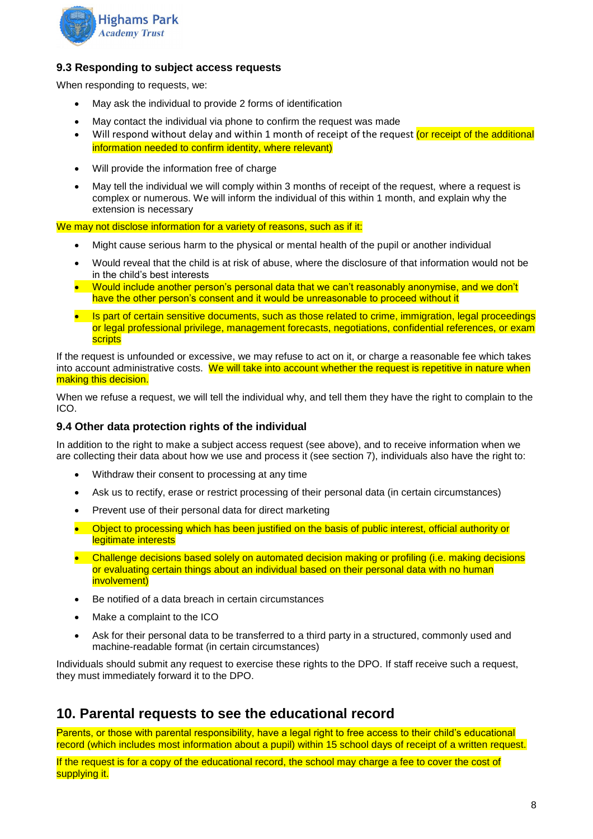

#### **9.3 Responding to subject access requests**

When responding to requests, we:

- May ask the individual to provide 2 forms of identification
- May contact the individual via phone to confirm the request was made
- Will respond without delay and within 1 month of receipt of the request (or receipt of the additional information needed to confirm identity, where relevant)
- Will provide the information free of charge
- May tell the individual we will comply within 3 months of receipt of the request, where a request is complex or numerous. We will inform the individual of this within 1 month, and explain why the extension is necessary

We may not disclose information for a variety of reasons, such as if it:

- Might cause serious harm to the physical or mental health of the pupil or another individual
- Would reveal that the child is at risk of abuse, where the disclosure of that information would not be in the child's best interests
- Would include another person's personal data that we can't reasonably anonymise, and we don't have the other person's consent and it would be unreasonable to proceed without it
- Is part of certain sensitive documents, such as those related to crime, immigration, legal proceedings or legal professional privilege, management forecasts, negotiations, confidential references, or exam **scripts**

If the request is unfounded or excessive, we may refuse to act on it, or charge a reasonable fee which takes into account administrative costs. We will take into account whether the request is repetitive in nature when making this decision.

When we refuse a request, we will tell the individual why, and tell them they have the right to complain to the ICO.

#### **9.4 Other data protection rights of the individual**

In addition to the right to make a subject access request (see above), and to receive information when we are collecting their data about how we use and process it (see section 7), individuals also have the right to:

- Withdraw their consent to processing at any time
- Ask us to rectify, erase or restrict processing of their personal data (in certain circumstances)
- Prevent use of their personal data for direct marketing
- Object to processing which has been justified on the basis of public interest, official authority or legitimate interests
- Challenge decisions based solely on automated decision making or profiling (i.e. making decisions or evaluating certain things about an individual based on their personal data with no human involvement)
- Be notified of a data breach in certain circumstances
- Make a complaint to the ICO
- Ask for their personal data to be transferred to a third party in a structured, commonly used and machine-readable format (in certain circumstances)

Individuals should submit any request to exercise these rights to the DPO. If staff receive such a request, they must immediately forward it to the DPO.

## **10. Parental requests to see the educational record**

Parents, or those with parental responsibility, have a legal right to free access to their child's educational record (which includes most information about a pupil) within 15 school days of receipt of a written request.

If the request is for a copy of the educational record, the school may charge a fee to cover the cost of supplying it.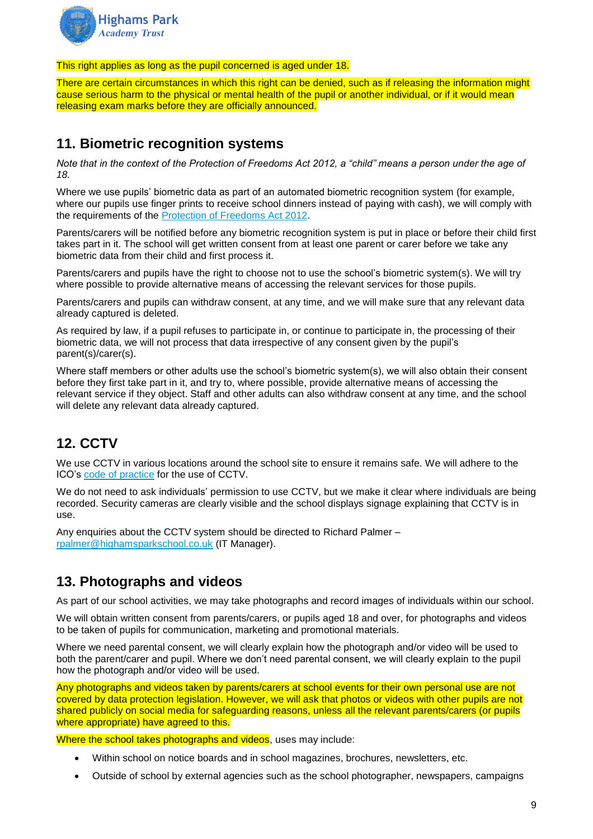

This right applies as long as the pupil concerned is aged under 18.

There are certain circumstances in which this right can be denied, such as if releasing the information might cause serious harm to the physical or mental health of the pupil or another individual, or if it would mean releasing exam marks before they are officially announced.

## **11. Biometric recognition systems**

*Note that in the context of the Protection of Freedoms Act 2012, a "child" means a person under the age of 18.*

Where we use pupils' biometric data as part of an automated biometric recognition system (for example, where our pupils use finger prints to receive school dinners instead of paying with cash), we will comply with the requirements of the [Protection of Freedoms Act 2012.](https://www.legislation.gov.uk/ukpga/2012/9/section/26)

Parents/carers will be notified before any biometric recognition system is put in place or before their child first takes part in it. The school will get written consent from at least one parent or carer before we take any biometric data from their child and first process it.

Parents/carers and pupils have the right to choose not to use the school's biometric system(s). We will try where possible to provide alternative means of accessing the relevant services for those pupils.

Parents/carers and pupils can withdraw consent, at any time, and we will make sure that any relevant data already captured is deleted.

As required by law, if a pupil refuses to participate in, or continue to participate in, the processing of their biometric data, we will not process that data irrespective of any consent given by the pupil's parent(s)/carer(s).

Where staff members or other adults use the school's biometric system(s), we will also obtain their consent before they first take part in it, and try to, where possible, provide alternative means of accessing the relevant service if they object. Staff and other adults can also withdraw consent at any time, and the school will delete any relevant data already captured.

## **12. CCTV**

We use CCTV in various locations around the school site to ensure it remains safe. We will adhere to the ICO's [code of practice](https://ico.org.uk/media/for-organisations/documents/1542/cctv-code-of-practice.pdf) for the use of CCTV.

We do not need to ask individuals' permission to use CCTV, but we make it clear where individuals are being recorded. Security cameras are clearly visible and the school displays signage explaining that CCTV is in use.

Any enquiries about the CCTV system should be directed to Richard Palmer – [rpalmer@highamsparkschool.co.uk](mailto:rpalmer@highamsparkschool.co.uk) (IT Manager).

## **13. Photographs and videos**

As part of our school activities, we may take photographs and record images of individuals within our school.

We will obtain written consent from parents/carers, or pupils aged 18 and over, for photographs and videos to be taken of pupils for communication, marketing and promotional materials.

Where we need parental consent, we will clearly explain how the photograph and/or video will be used to both the parent/carer and pupil. Where we don't need parental consent, we will clearly explain to the pupil how the photograph and/or video will be used.

Any photographs and videos taken by parents/carers at school events for their own personal use are not covered by data protection legislation. However, we will ask that photos or videos with other pupils are not shared publicly on social media for safeguarding reasons, unless all the relevant parents/carers (or pupils where appropriate) have agreed to this.

Where the school takes photographs and videos, uses may include:

- Within school on notice boards and in school magazines, brochures, newsletters, etc.
- Outside of school by external agencies such as the school photographer, newspapers, campaigns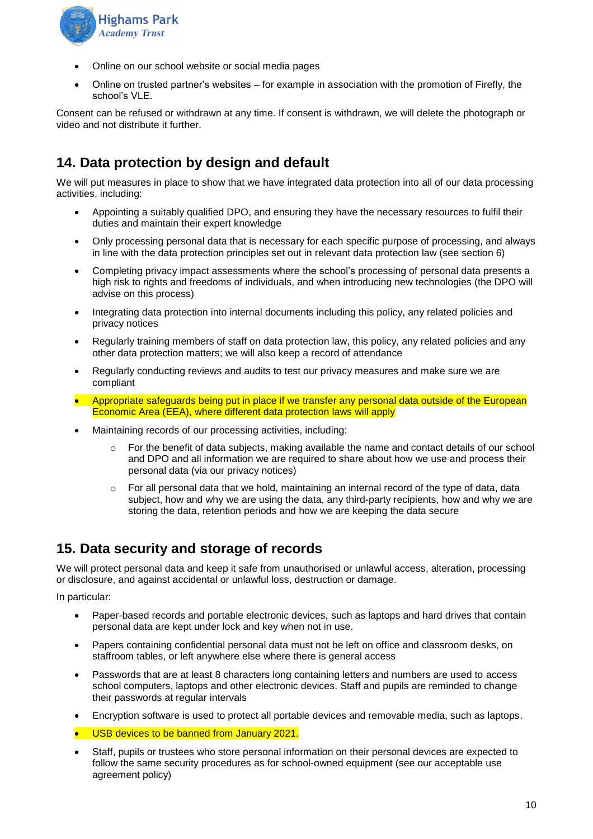

- Online on our school website or social media pages
- Online on trusted partner's websites for example in association with the promotion of Firefly, the school's VLE.

Consent can be refused or withdrawn at any time. If consent is withdrawn, we will delete the photograph or video and not distribute it further.

## **14. Data protection by design and default**

We will put measures in place to show that we have integrated data protection into all of our data processing activities, including:

- Appointing a suitably qualified DPO, and ensuring they have the necessary resources to fulfil their duties and maintain their expert knowledge
- Only processing personal data that is necessary for each specific purpose of processing, and always in line with the data protection principles set out in relevant data protection law (see section 6)
- Completing privacy impact assessments where the school's processing of personal data presents a high risk to rights and freedoms of individuals, and when introducing new technologies (the DPO will advise on this process)
- Integrating data protection into internal documents including this policy, any related policies and privacy notices
- Regularly training members of staff on data protection law, this policy, any related policies and any other data protection matters; we will also keep a record of attendance
- Regularly conducting reviews and audits to test our privacy measures and make sure we are compliant
- Appropriate safeguards being put in place if we transfer any personal data outside of the European Economic Area (EEA), where different data protection laws will apply
- Maintaining records of our processing activities, including:
	- $\circ$  For the benefit of data subjects, making available the name and contact details of our school and DPO and all information we are required to share about how we use and process their personal data (via our privacy notices)
	- $\circ$  For all personal data that we hold, maintaining an internal record of the type of data, data subject, how and why we are using the data, any third-party recipients, how and why we are storing the data, retention periods and how we are keeping the data secure

## **15. Data security and storage of records**

We will protect personal data and keep it safe from unauthorised or unlawful access, alteration, processing or disclosure, and against accidental or unlawful loss, destruction or damage.

In particular:

- Paper-based records and portable electronic devices, such as laptops and hard drives that contain personal data are kept under lock and key when not in use.
- Papers containing confidential personal data must not be left on office and classroom desks, on staffroom tables, or left anywhere else where there is general access
- Passwords that are at least 8 characters long containing letters and numbers are used to access school computers, laptops and other electronic devices. Staff and pupils are reminded to change their passwords at regular intervals
- Encryption software is used to protect all portable devices and removable media, such as laptops.
- USB devices to be banned from January 2021.
- Staff, pupils or trustees who store personal information on their personal devices are expected to follow the same security procedures as for school-owned equipment (see our acceptable use agreement policy)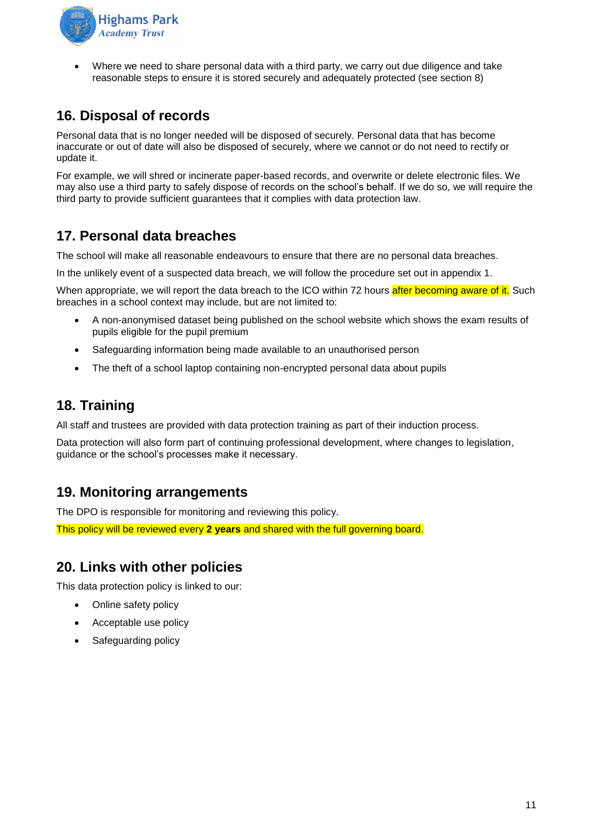

• Where we need to share personal data with a third party, we carry out due diligence and take reasonable steps to ensure it is stored securely and adequately protected (see section 8)

## **16. Disposal of records**

Personal data that is no longer needed will be disposed of securely. Personal data that has become inaccurate or out of date will also be disposed of securely, where we cannot or do not need to rectify or update it.

For example, we will shred or incinerate paper-based records, and overwrite or delete electronic files. We may also use a third party to safely dispose of records on the school's behalf. If we do so, we will require the third party to provide sufficient guarantees that it complies with data protection law.

## **17. Personal data breaches**

The school will make all reasonable endeavours to ensure that there are no personal data breaches.

In the unlikely event of a suspected data breach, we will follow the procedure set out in appendix 1.

When appropriate, we will report the data breach to the ICO within 72 hours after becoming aware of it. Such breaches in a school context may include, but are not limited to:

- A non-anonymised dataset being published on the school website which shows the exam results of pupils eligible for the pupil premium
- Safeguarding information being made available to an unauthorised person
- The theft of a school laptop containing non-encrypted personal data about pupils

## **18. Training**

All staff and trustees are provided with data protection training as part of their induction process.

Data protection will also form part of continuing professional development, where changes to legislation, guidance or the school's processes make it necessary.

## **19. Monitoring arrangements**

The DPO is responsible for monitoring and reviewing this policy.

This policy will be reviewed every **2 years** and shared with the full governing board.

## **20. Links with other policies**

This data protection policy is linked to our:

- Online safety policy
- Acceptable use policy
- Safeguarding policy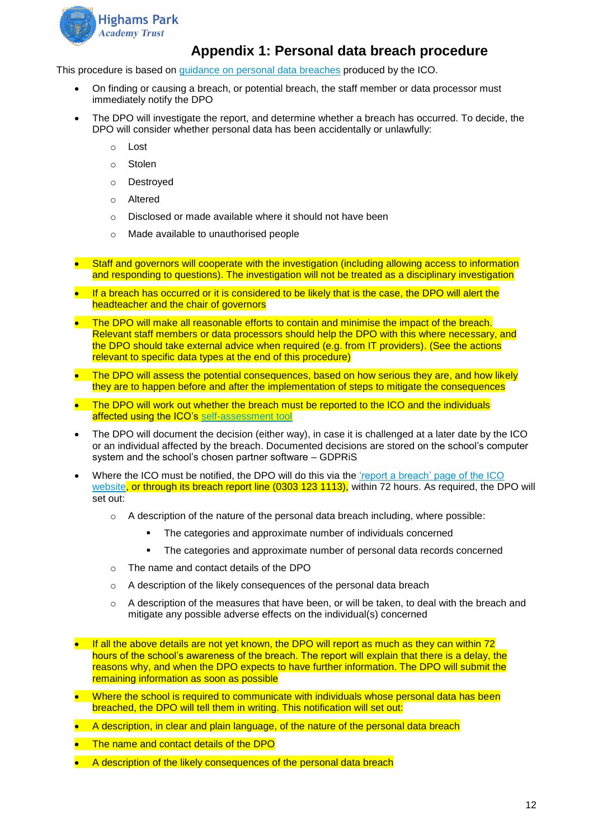

## **Appendix 1: Personal data breach procedure**

This procedure is based on [guidance on personal data breaches](https://ico.org.uk/for-organisations/guide-to-the-general-data-protection-regulation-gdpr/personal-data-breaches/) produced by the ICO.

- On finding or causing a breach, or potential breach, the staff member or data processor must immediately notify the DPO
- The DPO will investigate the report, and determine whether a breach has occurred. To decide, the DPO will consider whether personal data has been accidentally or unlawfully:
	- o Lost
	- o Stolen
	- o Destroyed
	- o Altered
	- o Disclosed or made available where it should not have been
	- o Made available to unauthorised people
- Staff and governors will cooperate with the investigation (including allowing access to information and responding to questions). The investigation will not be treated as a disciplinary investigation
- If a breach has occurred or it is considered to be likely that is the case, the DPO will alert the headteacher and the chair of governors
- The DPO will make all reasonable efforts to contain and minimise the impact of the breach. Relevant staff members or data processors should help the DPO with this where necessary, and the DPO should take external advice when required (e.g. from IT providers). (See the actions relevant to specific data types at the end of this procedure)
- The DPO will assess the potential consequences, based on how serious they are, and how likely they are to happen before and after the implementation of steps to mitigate the consequences
- The DPO will work out whether the breach must be reported to the ICO and the individuals affected using the ICO's [self-assessment tool](https://ico.org.uk/for-organisations/report-a-breach/personal-data-breach-assessment/)
- The DPO will document the decision (either way), in case it is challenged at a later date by the ICO or an individual affected by the breach. Documented decisions are stored on the school's computer system and the school's chosen partner software – GDPRiS
- Where the ICO must be notified, the DPO will do this via the 'report a breach' page of the ICO [website,](https://ico.org.uk/for-organisations/report-a-breach/) or through its breach report line (0303 123 1113), within 72 hours. As required, the DPO will set out:
	- $\circ$  A description of the nature of the personal data breach including, where possible:
		- The categories and approximate number of individuals concerned
		- **•** The categories and approximate number of personal data records concerned
	- o The name and contact details of the DPO
	- o A description of the likely consequences of the personal data breach
	- $\circ$  A description of the measures that have been, or will be taken, to deal with the breach and mitigate any possible adverse effects on the individual(s) concerned
- If all the above details are not yet known, the DPO will report as much as they can within 72 hours of the school's awareness of the breach. The report will explain that there is a delay, the reasons why, and when the DPO expects to have further information. The DPO will submit the remaining information as soon as possible
- Where the school is required to communicate with individuals whose personal data has been breached, the DPO will tell them in writing. This notification will set out:
- A description, in clear and plain language, of the nature of the personal data breach
- The name and contact details of the DPO
- A description of the likely consequences of the personal data breach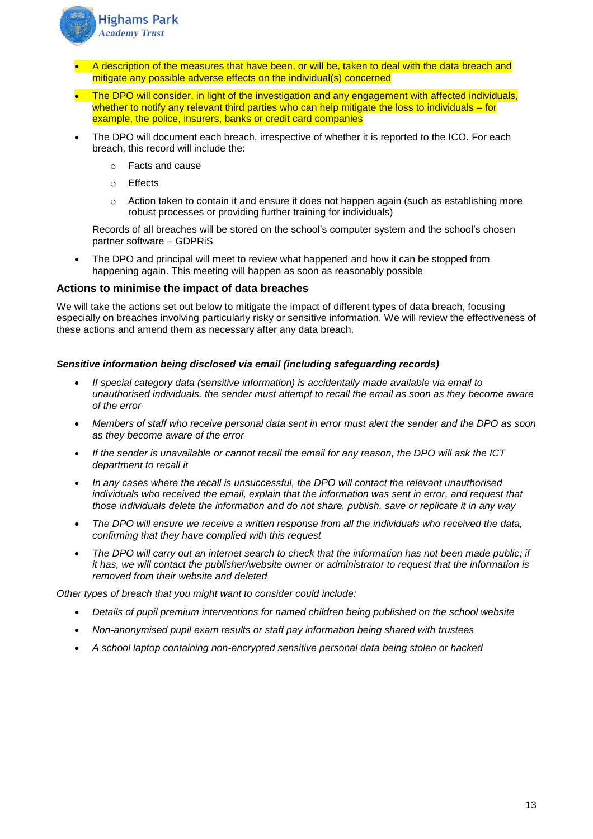

- A description of the measures that have been, or will be, taken to deal with the data breach and mitigate any possible adverse effects on the individual(s) concerned
- The DPO will consider, in light of the investigation and any engagement with affected individuals, whether to notify any relevant third parties who can help mitigate the loss to individuals – for example, the police, insurers, banks or credit card companies
- The DPO will document each breach, irrespective of whether it is reported to the ICO. For each breach, this record will include the:
	- o Facts and cause
	- o Effects
	- $\circ$  Action taken to contain it and ensure it does not happen again (such as establishing more robust processes or providing further training for individuals)

Records of all breaches will be stored on the school's computer system and the school's chosen partner software – GDPRiS

The DPO and principal will meet to review what happened and how it can be stopped from happening again. This meeting will happen as soon as reasonably possible

#### **Actions to minimise the impact of data breaches**

We will take the actions set out below to mitigate the impact of different types of data breach, focusing especially on breaches involving particularly risky or sensitive information. We will review the effectiveness of these actions and amend them as necessary after any data breach.

#### *Sensitive information being disclosed via email (including safeguarding records)*

- *If special category data (sensitive information) is accidentally made available via email to unauthorised individuals, the sender must attempt to recall the email as soon as they become aware of the error*
- *Members of staff who receive personal data sent in error must alert the sender and the DPO as soon as they become aware of the error*
- *If the sender is unavailable or cannot recall the email for any reason, the DPO will ask the ICT department to recall it*
- In any cases where the recall is unsuccessful, the DPO will contact the relevant unauthorised *individuals who received the email, explain that the information was sent in error, and request that those individuals delete the information and do not share, publish, save or replicate it in any way*
- *The DPO will ensure we receive a written response from all the individuals who received the data, confirming that they have complied with this request*
- The DPO will carry out an internet search to check that the information has not been made public; if *it has, we will contact the publisher/website owner or administrator to request that the information is removed from their website and deleted*

*Other types of breach that you might want to consider could include:*

- *Details of pupil premium interventions for named children being published on the school website*
- *Non-anonymised pupil exam results or staff pay information being shared with trustees*
- *A school laptop containing non-encrypted sensitive personal data being stolen or hacked*